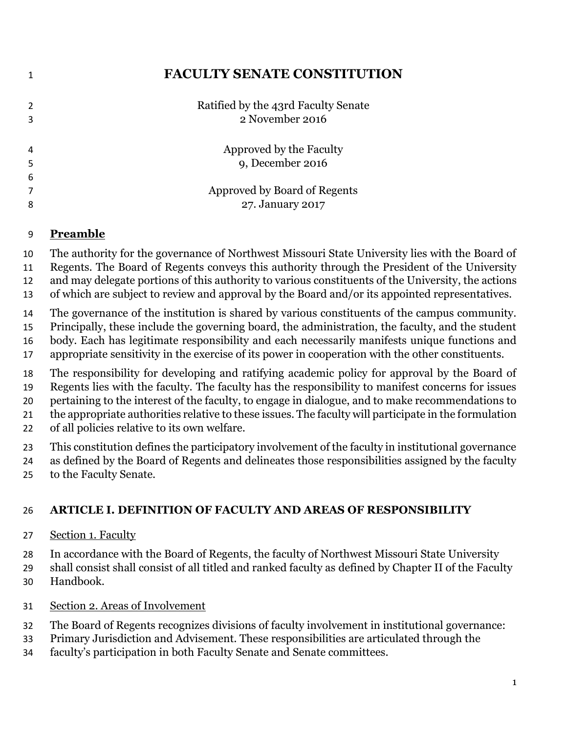# **FACULTY SENATE CONSTITUTION**

|   | Ratified by the 43rd Faculty Senate<br>2 November 2016 |
|---|--------------------------------------------------------|
|   | Approved by the Faculty<br>9, December 2016            |
| 6 |                                                        |
|   | Approved by Board of Regents                           |
| 8 | 27. January 2017                                       |

## **Preamble**

The authority for the governance of Northwest Missouri State University lies with the Board of

- Regents. The Board of Regents conveys this authority through the President of the University
- and may delegate portions of this authority to various constituents of the University, the actions
- of which are subject to review and approval by the Board and/or its appointed representatives.

The governance of the institution is shared by various constituents of the campus community.

- Principally, these include the governing board, the administration, the faculty, and the student
- body. Each has legitimate responsibility and each necessarily manifests unique functions and appropriate sensitivity in the exercise of its power in cooperation with the other constituents.
- The responsibility for developing and ratifying academic policy for approval by the Board of

Regents lies with the faculty. The faculty has the responsibility to manifest concerns for issues

pertaining to the interest of the faculty, to engage in dialogue, and to make recommendations to

the appropriate authorities relative to these issues. The faculty will participate in the formulation

of all policies relative to its own welfare.

This constitution defines the participatory involvement of the faculty in institutional governance

- as defined by the Board of Regents and delineates those responsibilities assigned by the faculty
- to the Faculty Senate.

# **ARTICLE I. DEFINITION OF FACULTY AND AREAS OF RESPONSIBILITY**

Section 1. Faculty

In accordance with the Board of Regents, the faculty of Northwest Missouri State University

- shall consist shall consist of all titled and ranked faculty as defined by Chapter II of the Faculty Handbook.
- Section 2. Areas of Involvement
- The Board of Regents recognizes divisions of faculty involvement in institutional governance:
- Primary Jurisdiction and Advisement. These responsibilities are articulated through the
- faculty's participation in both Faculty Senate and Senate committees.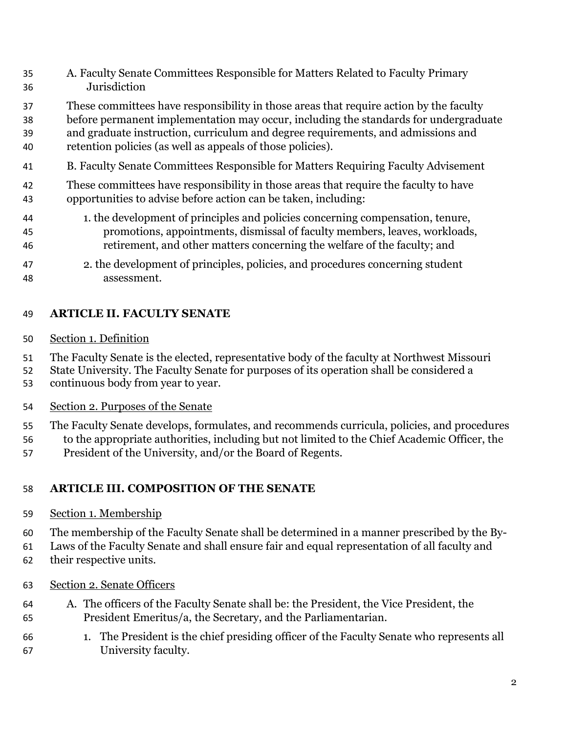- A. Faculty Senate Committees Responsible for Matters Related to Faculty Primary Jurisdiction
- These committees have responsibility in those areas that require action by the faculty
- before permanent implementation may occur, including the standards for undergraduate
- and graduate instruction, curriculum and degree requirements, and admissions and retention policies (as well as appeals of those policies).
- B. Faculty Senate Committees Responsible for Matters Requiring Faculty Advisement
- These committees have responsibility in those areas that require the faculty to have opportunities to advise before action can be taken, including:
- 1. the development of principles and policies concerning compensation, tenure, promotions, appointments, dismissal of faculty members, leaves, workloads, retirement, and other matters concerning the welfare of the faculty; and
- 2. the development of principles, policies, and procedures concerning student assessment.

# **ARTICLE II. FACULTY SENATE**

Section 1. Definition

The Faculty Senate is the elected, representative body of the faculty at Northwest Missouri

- State University. The Faculty Senate for purposes of its operation shall be considered a
- continuous body from year to year.
- Section 2. Purposes of the Senate
- The Faculty Senate develops, formulates, and recommends curricula, policies, and procedures to the appropriate authorities, including but not limited to the Chief Academic Officer, the
- President of the University, and/or the Board of Regents.

# **ARTICLE III. COMPOSITION OF THE SENATE**

- Section 1. Membership
- The membership of the Faculty Senate shall be determined in a manner prescribed by the By-
- Laws of the Faculty Senate and shall ensure fair and equal representation of all faculty and
- their respective units.
- Section 2. Senate Officers
- A. The officers of the Faculty Senate shall be: the President, the Vice President, the President Emeritus/a, the Secretary, and the Parliamentarian.
- 1. The President is the chief presiding officer of the Faculty Senate who represents all University faculty.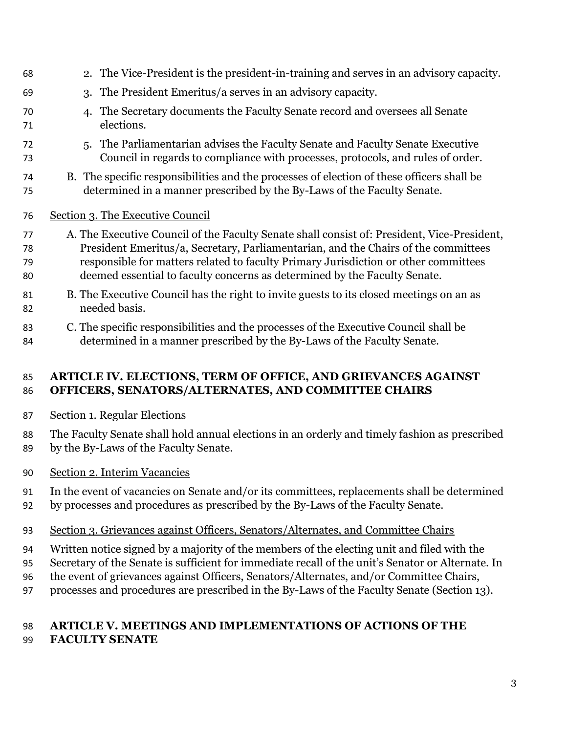| 68 | 2. The Vice-President is the president-in-training and serves in an advisory capacity.      |
|----|---------------------------------------------------------------------------------------------|
| 69 | 3. The President Emeritus/a serves in an advisory capacity.                                 |
| 70 | The Secretary documents the Faculty Senate record and oversees all Senate                   |
| 71 | elections.                                                                                  |
| 72 | 5. The Parliamentarian advises the Faculty Senate and Faculty Senate Executive              |
| 73 | Council in regards to compliance with processes, protocols, and rules of order.             |
| 74 | B. The specific responsibilities and the processes of election of these officers shall be   |
| 75 | determined in a manner prescribed by the By-Laws of the Faculty Senate.                     |
| 76 | Section 3. The Executive Council                                                            |
| 77 | A. The Executive Council of the Faculty Senate shall consist of: President, Vice-President, |
| 78 | President Emeritus/a, Secretary, Parliamentarian, and the Chairs of the committees          |
| 79 | responsible for matters related to faculty Primary Jurisdiction or other committees         |
| 80 | deemed essential to faculty concerns as determined by the Faculty Senate.                   |
| 81 | B. The Executive Council has the right to invite guests to its closed meetings on an as     |
| 82 | needed basis.                                                                               |
| 83 | C. The specific responsibilities and the processes of the Executive Council shall be        |
| 84 | determined in a manner prescribed by the By-Laws of the Faculty Senate.                     |

## **ARTICLE IV. ELECTIONS, TERM OF OFFICE, AND GRIEVANCES AGAINST OFFICERS, SENATORS/ALTERNATES, AND COMMITTEE CHAIRS**

Section 1. Regular Elections

 The Faculty Senate shall hold annual elections in an orderly and timely fashion as prescribed by the By-Laws of the Faculty Senate.

Section 2. Interim Vacancies

In the event of vacancies on Senate and/or its committees, replacements shall be determined

- by processes and procedures as prescribed by the By-Laws of the Faculty Senate.
- Section 3. Grievances against Officers, Senators/Alternates, and Committee Chairs
- Written notice signed by a majority of the members of the electing unit and filed with the
- Secretary of the Senate is sufficient for immediate recall of the unit's Senator or Alternate. In
- the event of grievances against Officers, Senators/Alternates, and/or Committee Chairs,
- processes and procedures are prescribed in the By-Laws of the Faculty Senate (Section 13).

# **ARTICLE V. MEETINGS AND IMPLEMENTATIONS OF ACTIONS OF THE FACULTY SENATE**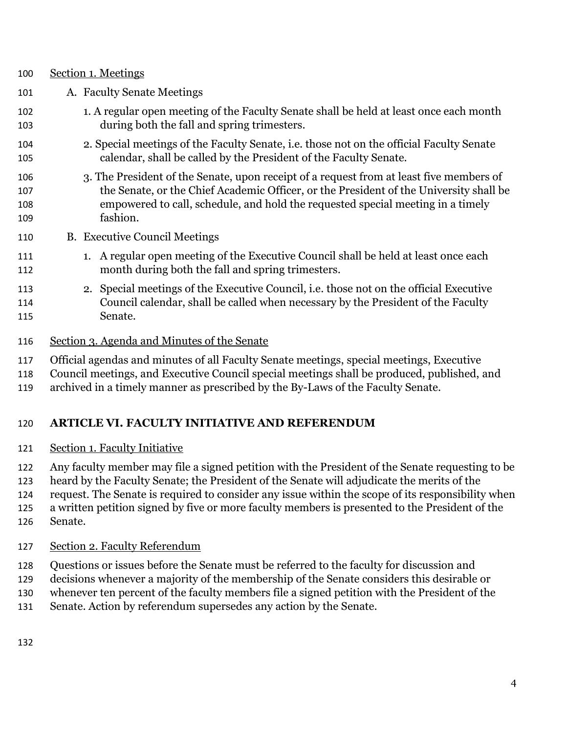- Section 1. Meetings A. Faculty Senate Meetings 102 1. A regular open meeting of the Faculty Senate shall be held at least once each month during both the fall and spring trimesters. 2. Special meetings of the Faculty Senate, i.e. those not on the official Faculty Senate calendar, shall be called by the President of the Faculty Senate. 3. The President of the Senate, upon receipt of a request from at least five members of the Senate, or the Chief Academic Officer, or the President of the University shall be empowered to call, schedule, and hold the requested special meeting in a timely fashion. B. Executive Council Meetings 111 1. A regular open meeting of the Executive Council shall be held at least once each month during both the fall and spring trimesters. 2. Special meetings of the Executive Council, i.e. those not on the official Executive Council calendar, shall be called when necessary by the President of the Faculty Senate.
	- Section 3. Agenda and Minutes of the Senate

Official agendas and minutes of all Faculty Senate meetings, special meetings, Executive

Council meetings, and Executive Council special meetings shall be produced, published, and

archived in a timely manner as prescribed by the By-Laws of the Faculty Senate.

# **ARTICLE VI. FACULTY INITIATIVE AND REFERENDUM**

Section 1. Faculty Initiative

Any faculty member may file a signed petition with the President of the Senate requesting to be

heard by the Faculty Senate; the President of the Senate will adjudicate the merits of the

 request. The Senate is required to consider any issue within the scope of its responsibility when a written petition signed by five or more faculty members is presented to the President of the

Senate.

- Section 2. Faculty Referendum
- Questions or issues before the Senate must be referred to the faculty for discussion and
- decisions whenever a majority of the membership of the Senate considers this desirable or
- whenever ten percent of the faculty members file a signed petition with the President of the
- Senate. Action by referendum supersedes any action by the Senate.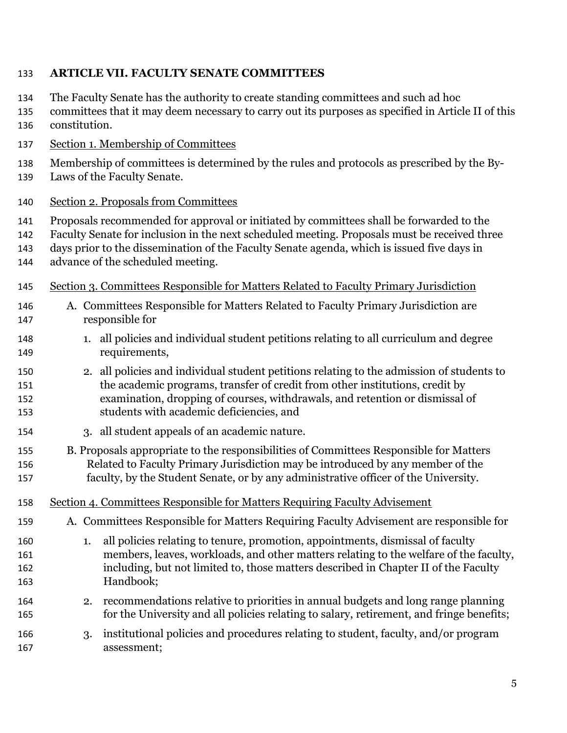#### **ARTICLE VII. FACULTY SENATE COMMITTEES**

- The Faculty Senate has the authority to create standing committees and such ad hoc
- committees that it may deem necessary to carry out its purposes as specified in Article II of this constitution.
- Section 1. Membership of Committees
- Membership of committees is determined by the rules and protocols as prescribed by the By-
- Laws of the Faculty Senate.

#### Section 2. Proposals from Committees

- Proposals recommended for approval or initiated by committees shall be forwarded to the
- Faculty Senate for inclusion in the next scheduled meeting. Proposals must be received three
- days prior to the dissemination of the Faculty Senate agenda, which is issued five days in
- advance of the scheduled meeting.
- Section 3. Committees Responsible for Matters Related to Faculty Primary Jurisdiction
- A. Committees Responsible for Matters Related to Faculty Primary Jurisdiction are responsible for
- 1. all policies and individual student petitions relating to all curriculum and degree requirements,
- 2. all policies and individual student petitions relating to the admission of students to the academic programs, transfer of credit from other institutions, credit by examination, dropping of courses, withdrawals, and retention or dismissal of students with academic deficiencies, and
- 3. all student appeals of an academic nature.
- B. Proposals appropriate to the responsibilities of Committees Responsible for Matters Related to Faculty Primary Jurisdiction may be introduced by any member of the faculty, by the Student Senate, or by any administrative officer of the University.
- Section 4. Committees Responsible for Matters Requiring Faculty Advisement
- A. Committees Responsible for Matters Requiring Faculty Advisement are responsible for
- 1. all policies relating to tenure, promotion, appointments, dismissal of faculty members, leaves, workloads, and other matters relating to the welfare of the faculty, including, but not limited to, those matters described in Chapter II of the Faculty Handbook;
- 2. recommendations relative to priorities in annual budgets and long range planning for the University and all policies relating to salary, retirement, and fringe benefits;
- 3. institutional policies and procedures relating to student, faculty, and/or program assessment;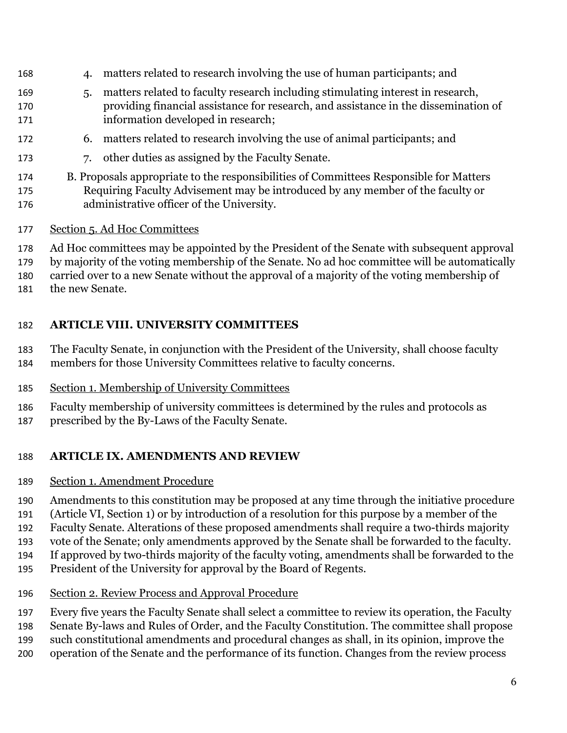- 4. matters related to research involving the use of human participants; and
- 5. matters related to faculty research including stimulating interest in research, providing financial assistance for research, and assistance in the dissemination of information developed in research;
- 6. matters related to research involving the use of animal participants; and
- 7. other duties as assigned by the Faculty Senate.
- B. Proposals appropriate to the responsibilities of Committees Responsible for Matters Requiring Faculty Advisement may be introduced by any member of the faculty or administrative officer of the University.
- Section 5. Ad Hoc Committees
- Ad Hoc committees may be appointed by the President of the Senate with subsequent approval
- by majority of the voting membership of the Senate. No ad hoc committee will be automatically
- carried over to a new Senate without the approval of a majority of the voting membership of
- the new Senate.

## **ARTICLE VIII. UNIVERSITY COMMITTEES**

- The Faculty Senate, in conjunction with the President of the University, shall choose faculty
- members for those University Committees relative to faculty concerns.
- Section 1. Membership of University Committees
- Faculty membership of university committees is determined by the rules and protocols as
- prescribed by the By-Laws of the Faculty Senate.

## **ARTICLE IX. AMENDMENTS AND REVIEW**

- Section 1. Amendment Procedure
- Amendments to this constitution may be proposed at any time through the initiative procedure
- (Article VI, Section 1) or by introduction of a resolution for this purpose by a member of the
- Faculty Senate. Alterations of these proposed amendments shall require a two-thirds majority
- vote of the Senate; only amendments approved by the Senate shall be forwarded to the faculty.
- If approved by two-thirds majority of the faculty voting, amendments shall be forwarded to the
- President of the University for approval by the Board of Regents.
- Section 2. Review Process and Approval Procedure
- Every five years the Faculty Senate shall select a committee to review its operation, the Faculty
- Senate By-laws and Rules of Order, and the Faculty Constitution. The committee shall propose
- such constitutional amendments and procedural changes as shall, in its opinion, improve the
- operation of the Senate and the performance of its function. Changes from the review process